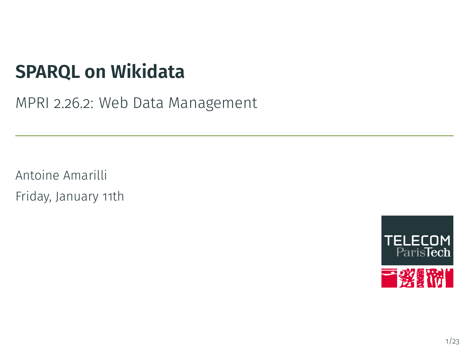# **SPARQL on Wikidata**

MPRI 2.26.2: Web Data Management

Antoine Amarilli Friday, January 11th

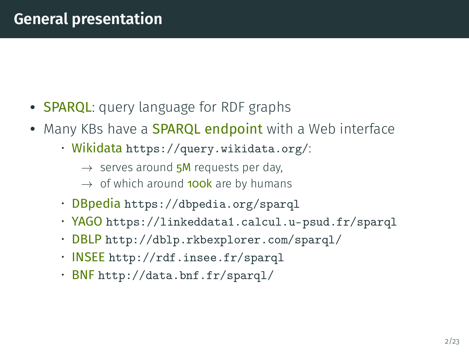### **General presentation**

- SPARQL: query language for RDF graphs
- Many KBs have a **SPARQL endpoint** with a Web interface
	- Wikidata <https://query.wikidata.org/>:
		- $\rightarrow$  serves around 5M requests per day,
		- $\rightarrow$  of which around **100k** are by humans
	- DBpedia <https://dbpedia.org/sparql>
	- YAGO <https://linkeddata1.calcul.u-psud.fr/sparql>
	- DBLP <http://dblp.rkbexplorer.com/sparql/>
	- INSEE <http://rdf.insee.fr/sparql>
	- BNF <http://data.bnf.fr/sparql/>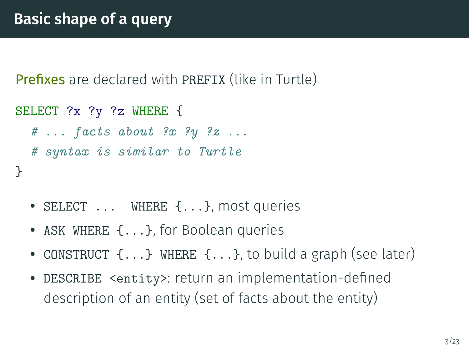**Prefixes** are declared with PREFIX (like in Turtle)

```
SELECT ?x ?y ?z WHERE {
  \# ... facts about ?x ?y ?z ...
  # syntax is similar to Turtle
}
```
- SELECT ... WHERE {...}, most queries
- ASK WHERE {...}, for Boolean queries
- CONSTRUCT {...} WHERE {...}, to build a graph (see later)
- DESCRIBE <entity>: return an implementation-dened description of an entity (set of facts about the entity)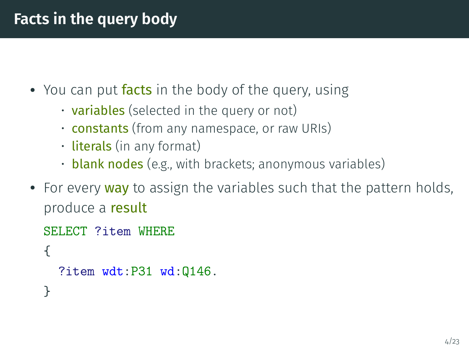## **Facts in the query body**

- You can put facts in the body of the query, using
	- $\cdot$  variables (selected in the query or not)
	- **constants** (from any namespace, or raw URIs)
	- **literals** (in any format)
	- **blank nodes** (e.g., with brackets; anonymous variables)
- For every way to assign the variables such that the pattern holds, produce a result

```
SELECT ?item WHERE
{
  ?item wdt:P31 wd:Q146.
}
```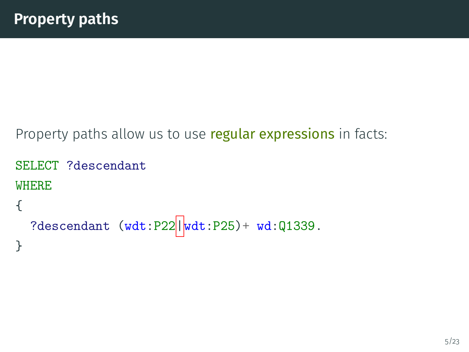Property paths allow us to use regular expressions in facts:

```
SELECT ?descendant
WHERE
{
  ?descendant (wdt:P22||wdt:P25) + wd:Q1339.
}
```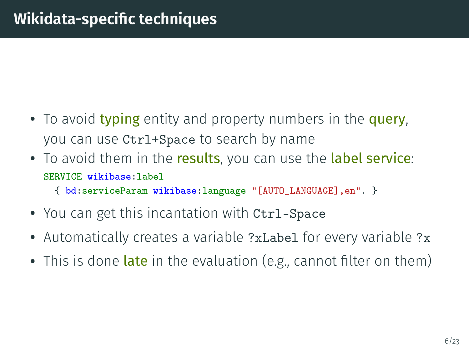- To avoid typing entity and property numbers in the query, you can use Ctrl+Space to search by name
- To avoid them in the results, you can use the label service: SERVICE wikibase:label
	- { bd:serviceParam wikibase:language "[AUTO\_LANGUAGE],en". }
- You can get this incantation with Ctrl-Space
- Automatically creates a variable ?xLabel for every variable ?x
- $\bullet\,$  This is done  $\mathsf{late}$  in the evaluation (e.g., cannot filter on them)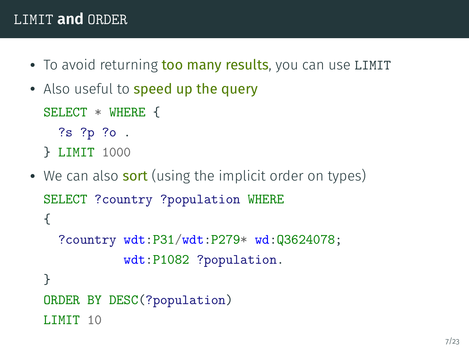#### LIMIT **and** ORDER

- <span id="page-6-0"></span>• To avoid returning too many results, you can use LIMIT
- Also useful to speed up the query

SELECT \* WHERE {

```
?s ?p ?o .
```
- } LIMIT 1000
- We can also **sort** (using the implicit order on types) SELECT ?country ?population WHERE { ?country wdt:P31/wdt:P279\* wd:Q3624078; wdt:P1082 ?population. } ORDER BY DESC(?population) LIMIT 10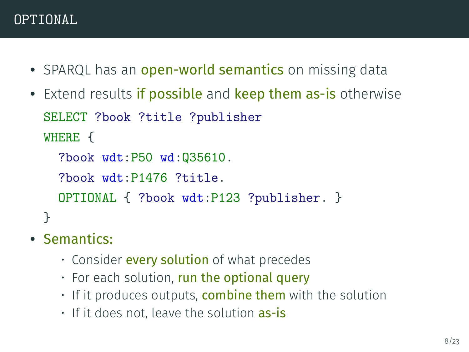- <span id="page-7-0"></span>• SPARQL has an open-world semantics on missing data
- Extend results if possible and keep them as-is otherwise SELECT ?book ?title ?publisher WHERE {

```
?book wdt:P50 wd:Q35610.
```

```
?book wdt:P1476 ?title.
```

```
OPTIONAL { ?book wdt:P123 ?publisher. }
```
}

# • Semantics:

- Consider **every solution** of what precedes
- $\cdot$  For each solution, run the optional query
- $\cdot$  If it produces outputs, **combine them** with the solution
- If it does not, leave the solution as-is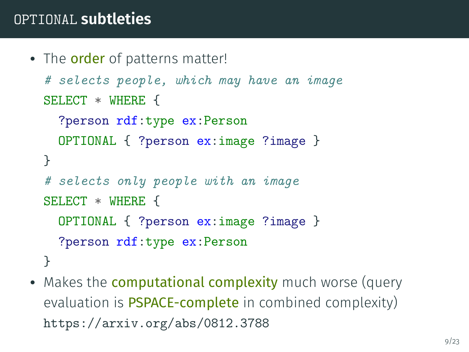### OPTIONAL **subtleties**

```
• The order of patterns matter!
  # selects people, which may have an image
 SELECT * WHERE {
   ?person rdf:type ex:Person
   OPTIONAL { ?person ex:image ?image }
 }
  # selects only people with an image
 SELECT * WHERE {
   OPTIONAL { ?person ex:image ?image }
    ?person rdf:type ex:Person
 }
```
• Makes the **computational complexity** much worse (query evaluation is **PSPACE-complete** in combined complexity) <https://arxiv.org/abs/0812.3788>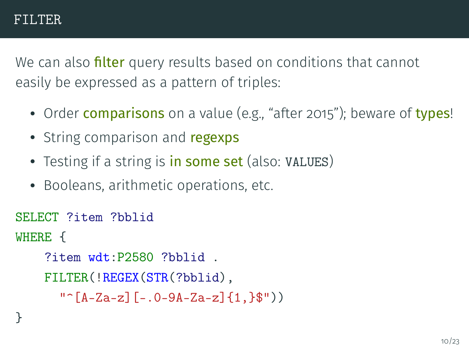<span id="page-9-0"></span>We can also **filter** query results based on conditions that cannot easily be expressed as a pattern of triples:

- Order **comparisons** on a value (e.g., "after 2015"); beware of types!
- String comparison and regexps
- Testing if a string is in some set (also: VALUES)
- Booleans, arithmetic operations, etc.

```
SELECT ?item ?bblid
WHERE {
    ?item wdt:P2580 ?bblid .
    FILTER(!REGEX(STR(?bblid),
      "\hat{[A-Za-z]}[-.0-9A-Za-z]{1}
```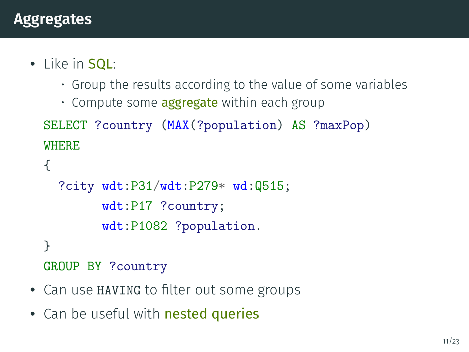- <span id="page-10-0"></span>• Like in SQL:
	- Group the results according to the value of some variables
	- Compute some **aggregate** within each group

```
SELECT ?country (MAX(?population) AS ?maxPop)
WHERE
{
  ?city wdt:P31/wdt:P279* wd:Q515;
        wdt:P17 ?country;
        wdt:P1082 ?population.
}
GROUP BY ?country
```
- Can use HAVING to filter out some groups
- Can be useful with nested queries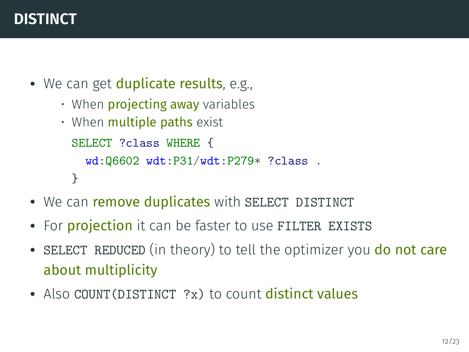### **DISTINCT**

- We can get duplicate results, e.g.,
	- When **projecting away** variables
	- When **multiple paths** exist SELECT ?class WHERE { wd:Q6602 wdt:P31/wdt:P279\* ?class . }
- We can remove duplicates with SELECT DISTINCT
- For *projection* it can be faster to use FILTER EXISTS
- SELECT REDUCED (in theory) to tell the optimizer you do not care about multiplicity
- Also COUNT (DISTINCT ?x) to count distinct values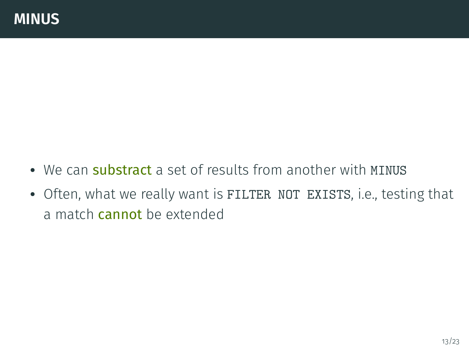- We can substract a set of results from another with MINUS
- Often, what we really want is FILTER NOT EXISTS, i.e., testing that a match cannot be extended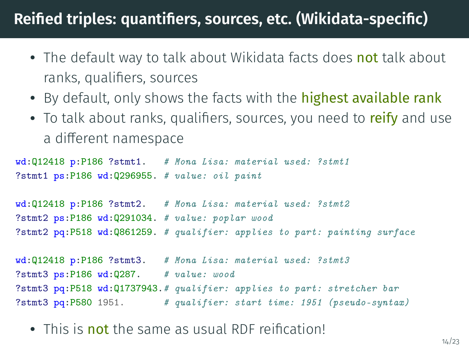# Reified triples: quantifiers, sources, etc. (Wikidata-specific)

- <span id="page-13-0"></span>• The default way to talk about Wikidata facts does not talk about ranks, qualifiers, sources
- By default, only shows the facts with the highest available rank
- To talk about ranks, qualifiers, sources, you need to reify and use a different namespace

```
wd:Q12418 p:P186 ?stmt1. # Mona Lisa: material used: ?stmt1
?stmt1 ps:P186 wd:Q296955. # value: oil paint
wd:Q12418 p:P186 ?stmt2. # Mona Lisa: material used: ?stmt2
?stmt2 ps:P186 wd:Q291034. # value: poplar wood
?stmt2 pq:P518 wd:Q861259. # qualifier: applies to part: painting surface
wd:Q12418 p:P186 ?stmt3. # Mona Lisa: material used: ?stmt3
?stmt3 ps:P186 wd:Q287. # value: wood
?stmt3 pq:P518 wd:Q1737943.# qualifier: applies to part: stretcher bar
```
- ?stmt3 pq:P580 1951. # qualifier: start time: 1951 (pseudo-syntax)
	- This is not the same as usual RDF reification!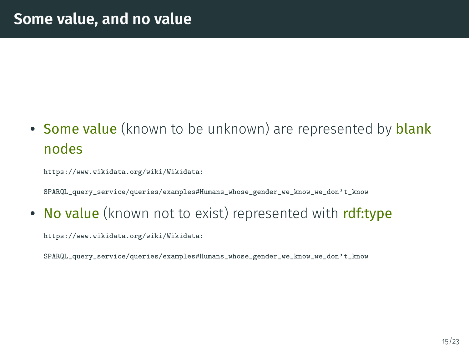• Some value (known to be unknown) are represented by blank nodes

[https://www.wikidata.org/wiki/Wikidata:](https://www.wikidata.org/wiki/Wikidata:SPARQL_query_service/queries/examples#Humans_whose_gender_we_know_we_don)

[SPARQL\\_query\\_service/queries/examples#Humans\\_whose\\_gender\\_we\\_know\\_we\\_don't\\_know](https://www.wikidata.org/wiki/Wikidata:SPARQL_query_service/queries/examples#Humans_whose_gender_we_know_we_don)

• No value (known not to exist) represented with rdf:type

[https://www.wikidata.org/wiki/Wikidata:](https://www.wikidata.org/wiki/Wikidata:SPARQL_query_service/queries/examples#Humans_whose_gender_we_know_we_don)

[SPARQL\\_query\\_service/queries/examples#Humans\\_whose\\_gender\\_we\\_know\\_we\\_don't\\_know](https://www.wikidata.org/wiki/Wikidata:SPARQL_query_service/queries/examples#Humans_whose_gender_we_know_we_don)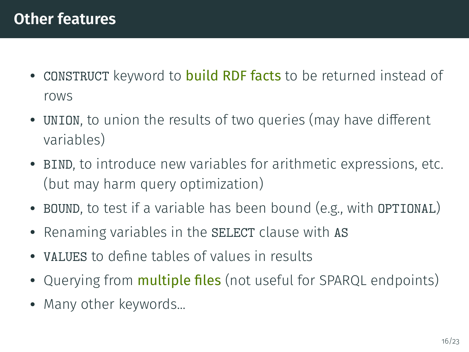- CONSTRUCT keyword to build RDF facts to be returned instead of rows
- UNION, to union the results of two queries (may have different variables)
- BIND, to introduce new variables for arithmetic expressions, etc. (but may harm query optimization)
- BOUND, to test if a variable has been bound (e.g., with OPTIONAL)
- Renaming variables in the SELECT clause with AS
- VALUES to define tables of values in results
- Querying from **multiple files** (not useful for SPARQL endpoints)
- Many other keywords...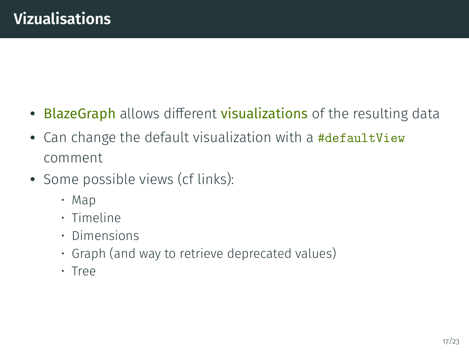- <span id="page-16-0"></span>• BlazeGraph allows different visualizations of the resulting data
- Can change the default visualization with a #defaultView comment
- Some possible views (cf links):
	- [Map](https://bitly.com/2M2jIJd)
	- [Timeline](https://bit.ly/2CbGVnE)
	- [Dimensions](https://bit.ly/2TJTu0F)
	- [Graph](https://bit.ly/2D3KL3Q) (and way to retrieve deprecated values)
	- [Tree](https://bit.ly/2RNgMpe)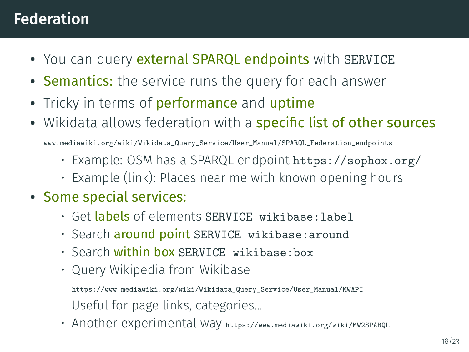# **Federation**

- You can query external SPARQL endpoints with SERVICE
- **Semantics:** the service runs the query for each answer
- Tricky in terms of **performance** and **uptime**
- Wikidata allows federation with a **specific list of other sources**

[www.mediawiki.org/wiki/Wikidata\\_Query\\_Service/User\\_Manual/SPARQL\\_Federation\\_endpoints](www.mediawiki.org/wiki/Wikidata_Query_Service/User_Manual/SPARQL_Federation_endpoints)

- Example: OSM has a SPARQL endpoint <https://sophox.org/>
- Example (link): [Places near me with known opening hours](https://bit.ly/2FoDq1p)
- Some special services:
	- Get labels of elements SERVICE wikibase: label
	- · Search around point SERVICE wikibase: around
	- Search within hox SERVICE wikibase: box
	- Query Wikipedia from Wikibase

[https://www.mediawiki.org/wiki/Wikidata\\_Query\\_Service/User\\_Manual/MWAPI](https://www.mediawiki.org/wiki/Wikidata_Query_Service/User_Manual/MWAPI) Useful for page links, categories...

• Another experimental way <https://www.mediawiki.org/wiki/MW2SPARQL>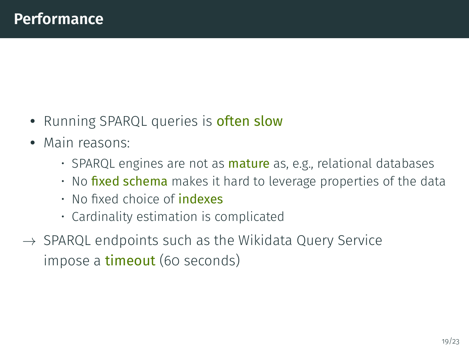- Running SPARQL queries is <mark>often slow</mark>
- Main reasons:
	- SPARQL engines are not as **mature** as, e.g., relational databases
	- $\cdot$  No fixed schema makes it hard to leverage properties of the data
	- $\cdot$  No fixed choice of **indexes**
	- Cardinality estimation is complicated
- $\rightarrow$  SPARQL endpoints such as the Wikidata Query Service impose a **timeout** (60 seconds)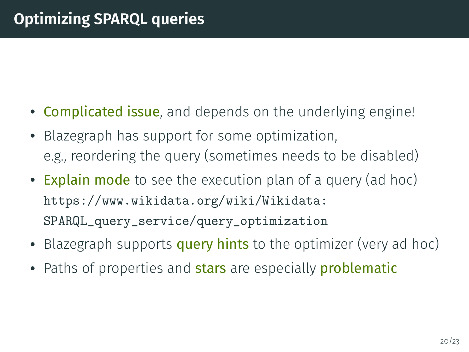- Complicated issue, and depends on the underlying engine!
- Blazegraph has support for some optimization, e.g., reordering the query (sometimes needs to be disabled)
- Explain mode to see the execution plan of a query (ad hoc) [https://www.wikidata.org/wiki/Wikidata:](https://www.wikidata.org/wiki/Wikidata:SPARQL_query_service/query_optimization) [SPARQL\\_query\\_service/query\\_optimization](https://www.wikidata.org/wiki/Wikidata:SPARQL_query_service/query_optimization)
- Blazegraph supports <mark>query hints</mark> to the optimizer (very ad hoc)
- Paths of properties and stars are especially problematic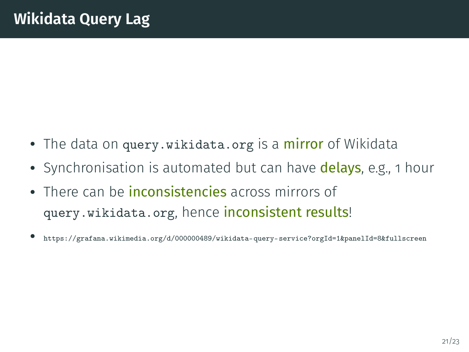- The data on <query.wikidata.org> is a mirror of Wikidata
- Synchronisation is automated but can have delays, e.g., 1 hour
- There can be *inconsistencies* across mirrors of <query.wikidata.org>, hence inconsistent results!
- <https://grafana.wikimedia.org/d/000000489/wikidata-query-service?orgId=1&panelId=8&fullscreen>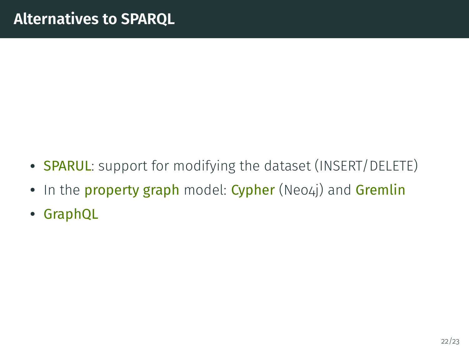- SPARUL: support for modifying the dataset (INSERT/DELETE)
- In the property graph model: Cypher (Neo4j) and Gremlin
- GraphQL